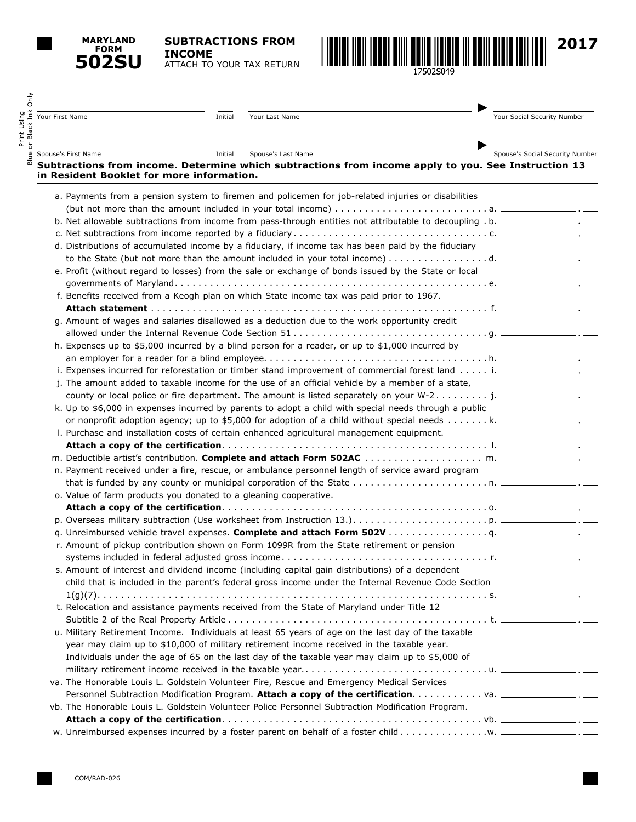**MARYLAND FORM 502SU**

Print Using

**SUBTRACTIONS FROM INCOME** ATTACH TO YOUR TAX RETURN **2017**

| Your First Name                                                  | Initial | Your Last Name                                                                                                                   | Your Social Security Number     |
|------------------------------------------------------------------|---------|----------------------------------------------------------------------------------------------------------------------------------|---------------------------------|
| Spouse's First Name                                              | Initial | Spouse's Last Name                                                                                                               | Spouse's Social Security Number |
| in Resident Booklet for more information.                        |         | Subtractions from income. Determine which subtractions from income apply to you. See Instruction 13                              |                                 |
|                                                                  |         | a. Payments from a pension system to firemen and policemen for job-related injuries or disabilities                              |                                 |
|                                                                  |         |                                                                                                                                  |                                 |
|                                                                  |         | b. Net allowable subtractions from income from pass-through entities not attributable to decoupling . b. ________________. _____ |                                 |
|                                                                  |         |                                                                                                                                  |                                 |
|                                                                  |         | d. Distributions of accumulated income by a fiduciary, if income tax has been paid by the fiduciary                              |                                 |
|                                                                  |         |                                                                                                                                  |                                 |
|                                                                  |         | e. Profit (without regard to losses) from the sale or exchange of bonds issued by the State or local                             |                                 |
|                                                                  |         | f. Benefits received from a Keogh plan on which State income tax was paid prior to 1967.                                         |                                 |
|                                                                  |         | g. Amount of wages and salaries disallowed as a deduction due to the work opportunity credit                                     |                                 |
|                                                                  |         |                                                                                                                                  |                                 |
|                                                                  |         | h. Expenses up to \$5,000 incurred by a blind person for a reader, or up to \$1,000 incurred by                                  |                                 |
|                                                                  |         |                                                                                                                                  |                                 |
|                                                                  |         | i. Expenses incurred for reforestation or timber stand improvement of commercial forest land i. ________________. . ____         |                                 |
|                                                                  |         | j. The amount added to taxable income for the use of an official vehicle by a member of a state,                                 |                                 |
|                                                                  |         | county or local police or fire department. The amount is listed separately on your W-2 j. ______________.                        |                                 |
|                                                                  |         | k. Up to \$6,000 in expenses incurred by parents to adopt a child with special needs through a public                            |                                 |
|                                                                  |         | or nonprofit adoption agency; up to \$5,000 for adoption of a child without special needs k. __________________. ______          |                                 |
|                                                                  |         | I. Purchase and installation costs of certain enhanced agricultural management equipment.                                        |                                 |
|                                                                  |         |                                                                                                                                  |                                 |
|                                                                  |         |                                                                                                                                  |                                 |
|                                                                  |         | n. Payment received under a fire, rescue, or ambulance personnel length of service award program                                 |                                 |
|                                                                  |         |                                                                                                                                  |                                 |
| o. Value of farm products you donated to a gleaning cooperative. |         |                                                                                                                                  |                                 |
|                                                                  |         |                                                                                                                                  |                                 |
|                                                                  |         |                                                                                                                                  |                                 |
|                                                                  |         |                                                                                                                                  |                                 |
|                                                                  |         | r. Amount of pickup contribution shown on Form 1099R from the State retirement or pension                                        |                                 |
|                                                                  |         |                                                                                                                                  |                                 |
|                                                                  |         | s. Amount of interest and dividend income (including capital gain distributions) of a dependent                                  |                                 |
|                                                                  |         | child that is included in the parent's federal gross income under the Internal Revenue Code Section                              |                                 |
|                                                                  |         |                                                                                                                                  |                                 |
|                                                                  |         | t. Relocation and assistance payments received from the State of Maryland under Title 12                                         |                                 |
|                                                                  |         | u. Military Retirement Income. Individuals at least 65 years of age on the last day of the taxable                               |                                 |
|                                                                  |         | year may claim up to \$10,000 of military retirement income received in the taxable year.                                        |                                 |
|                                                                  |         | Individuals under the age of 65 on the last day of the taxable year may claim up to \$5,000 of                                   |                                 |
|                                                                  |         |                                                                                                                                  |                                 |
|                                                                  |         | va. The Honorable Louis L. Goldstein Volunteer Fire, Rescue and Emergency Medical Services                                       |                                 |
|                                                                  |         |                                                                                                                                  |                                 |
|                                                                  |         | vb. The Honorable Louis L. Goldstein Volunteer Police Personnel Subtraction Modification Program.                                |                                 |
|                                                                  |         |                                                                                                                                  |                                 |
|                                                                  |         |                                                                                                                                  |                                 |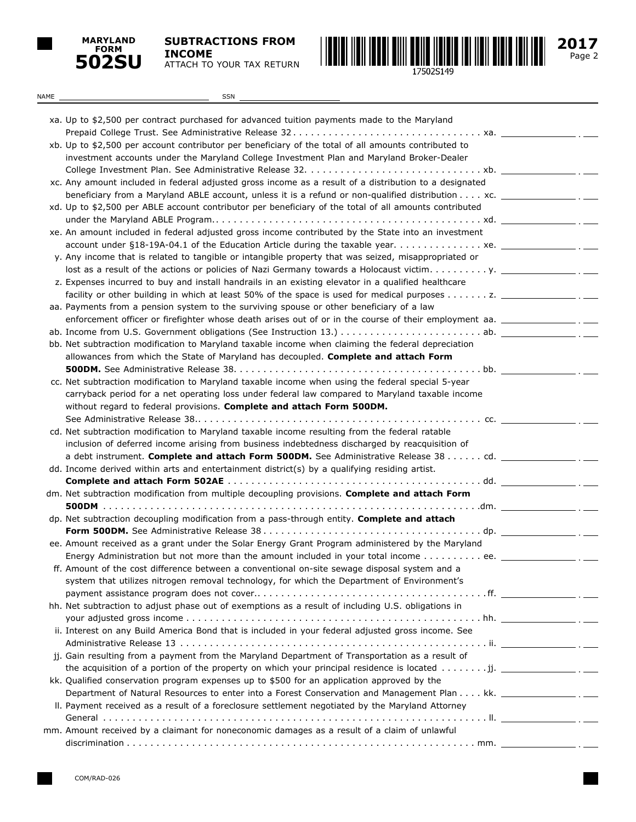

**SUBTRACTIONS FROM INCOME** ATTACH TO YOUR TAX RETURN



Page 2 **2017**

| NAME | SSN                                                                                                                                                                                                                                                                                                                                |  |
|------|------------------------------------------------------------------------------------------------------------------------------------------------------------------------------------------------------------------------------------------------------------------------------------------------------------------------------------|--|
|      |                                                                                                                                                                                                                                                                                                                                    |  |
|      | xa. Up to \$2,500 per contract purchased for advanced tuition payments made to the Maryland                                                                                                                                                                                                                                        |  |
|      |                                                                                                                                                                                                                                                                                                                                    |  |
|      | xb. Up to \$2,500 per account contributor per beneficiary of the total of all amounts contributed to                                                                                                                                                                                                                               |  |
|      | investment accounts under the Maryland College Investment Plan and Maryland Broker-Dealer                                                                                                                                                                                                                                          |  |
|      |                                                                                                                                                                                                                                                                                                                                    |  |
|      | xc. Any amount included in federal adjusted gross income as a result of a distribution to a designated                                                                                                                                                                                                                             |  |
|      | beneficiary from a Maryland ABLE account, unless it is a refund or non-qualified distribution $\dots$ xc. $\_\_$                                                                                                                                                                                                                   |  |
|      | xd. Up to \$2,500 per ABLE account contributor per beneficiary of the total of all amounts contributed                                                                                                                                                                                                                             |  |
|      |                                                                                                                                                                                                                                                                                                                                    |  |
|      | xe. An amount included in federal adjusted gross income contributed by the State into an investment                                                                                                                                                                                                                                |  |
|      |                                                                                                                                                                                                                                                                                                                                    |  |
|      | y. Any income that is related to tangible or intangible property that was seized, misappropriated or                                                                                                                                                                                                                               |  |
|      |                                                                                                                                                                                                                                                                                                                                    |  |
|      | z. Expenses incurred to buy and install handrails in an existing elevator in a qualified healthcare                                                                                                                                                                                                                                |  |
|      |                                                                                                                                                                                                                                                                                                                                    |  |
|      | aa. Payments from a pension system to the surviving spouse or other beneficiary of a law                                                                                                                                                                                                                                           |  |
|      | enforcement officer or firefighter whose death arises out of or in the course of their employment aa. __________________.                                                                                                                                                                                                          |  |
|      |                                                                                                                                                                                                                                                                                                                                    |  |
|      | bb. Net subtraction modification to Maryland taxable income when claiming the federal depreciation                                                                                                                                                                                                                                 |  |
|      | allowances from which the State of Maryland has decoupled. Complete and attach Form                                                                                                                                                                                                                                                |  |
|      |                                                                                                                                                                                                                                                                                                                                    |  |
|      | cc. Net subtraction modification to Maryland taxable income when using the federal special 5-year                                                                                                                                                                                                                                  |  |
|      | carryback period for a net operating loss under federal law compared to Maryland taxable income                                                                                                                                                                                                                                    |  |
|      | without regard to federal provisions. Complete and attach Form 500DM.                                                                                                                                                                                                                                                              |  |
|      |                                                                                                                                                                                                                                                                                                                                    |  |
|      | cd. Net subtraction modification to Maryland taxable income resulting from the federal ratable                                                                                                                                                                                                                                     |  |
|      | inclusion of deferred income arising from business indebtedness discharged by reacquisition of                                                                                                                                                                                                                                     |  |
|      |                                                                                                                                                                                                                                                                                                                                    |  |
|      | dd. Income derived within arts and entertainment district(s) by a qualifying residing artist.                                                                                                                                                                                                                                      |  |
|      |                                                                                                                                                                                                                                                                                                                                    |  |
|      | dm. Net subtraction modification from multiple decoupling provisions. Complete and attach Form                                                                                                                                                                                                                                     |  |
|      |                                                                                                                                                                                                                                                                                                                                    |  |
|      | dp. Net subtraction decoupling modification from a pass-through entity. Complete and attach                                                                                                                                                                                                                                        |  |
|      |                                                                                                                                                                                                                                                                                                                                    |  |
|      | ee. Amount received as a grant under the Solar Energy Grant Program administered by the Maryland                                                                                                                                                                                                                                   |  |
|      | Energy Administration but not more than the amount included in your total income ee. _____                                                                                                                                                                                                                                         |  |
|      | ff. Amount of the cost difference between a conventional on-site sewage disposal system and a                                                                                                                                                                                                                                      |  |
|      | system that utilizes nitrogen removal technology, for which the Department of Environment's                                                                                                                                                                                                                                        |  |
|      |                                                                                                                                                                                                                                                                                                                                    |  |
|      | hh. Net subtraction to adjust phase out of exemptions as a result of including U.S. obligations in                                                                                                                                                                                                                                 |  |
|      |                                                                                                                                                                                                                                                                                                                                    |  |
|      | ii. Interest on any Build America Bond that is included in your federal adjusted gross income. See                                                                                                                                                                                                                                 |  |
|      |                                                                                                                                                                                                                                                                                                                                    |  |
|      | jj. Gain resulting from a payment from the Maryland Department of Transportation as a result of                                                                                                                                                                                                                                    |  |
|      | the acquisition of a portion of the property on which your principal residence is located  jj. $\frac{1}{\sqrt{1-\frac{1}{n}}}\cdot\frac{1}{\sqrt{1-\frac{1}{n}}}\cdot\frac{1}{\sqrt{1-\frac{1}{n}}}\cdot\frac{1}{\sqrt{1-\frac{1}{n}}}\cdot\frac{1}{\sqrt{1-\frac{1}{n}}}\cdot\frac{1}{\sqrt{1-\frac{1}{n}}}\cdot\frac{1}{\sqrt{$ |  |
|      | kk. Qualified conservation program expenses up to \$500 for an application approved by the                                                                                                                                                                                                                                         |  |
|      | Department of Natural Resources to enter into a Forest Conservation and Management Plan kk. ___________________.                                                                                                                                                                                                                   |  |
|      | II. Payment received as a result of a foreclosure settlement negotiated by the Maryland Attorney                                                                                                                                                                                                                                   |  |
|      |                                                                                                                                                                                                                                                                                                                                    |  |
|      | mm. Amount received by a claimant for noneconomic damages as a result of a claim of unlawful                                                                                                                                                                                                                                       |  |
|      |                                                                                                                                                                                                                                                                                                                                    |  |